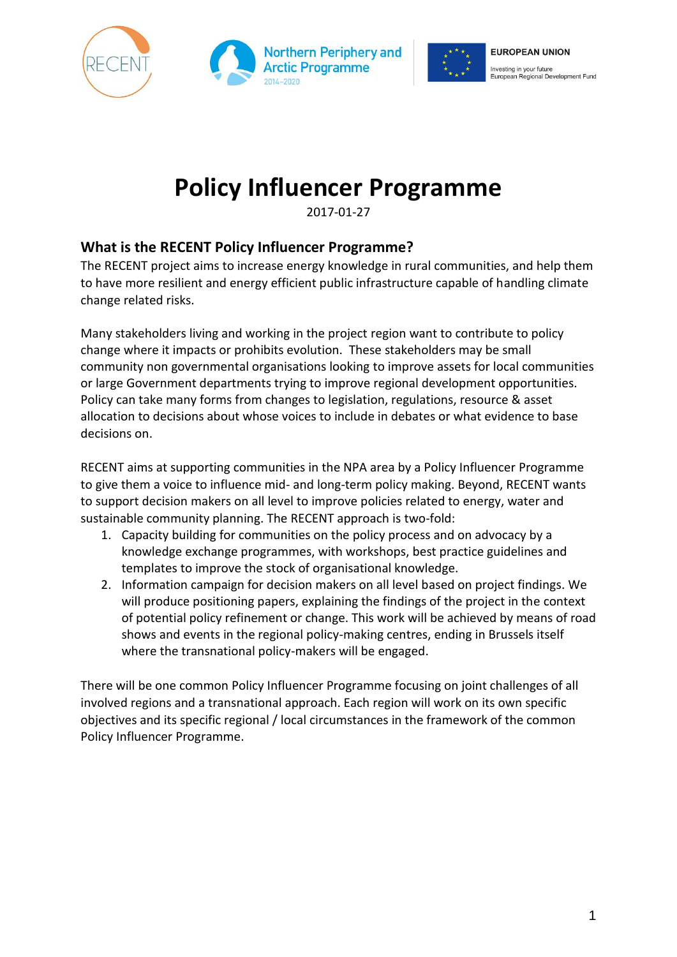





# **Policy Influencer Programme**

2017-01-27

# **What is the RECENT Policy Influencer Programme?**

The RECENT project aims to increase energy knowledge in rural communities, and help them to have more resilient and energy efficient public infrastructure capable of handling climate change related risks.

Many stakeholders living and working in the project region want to contribute to policy change where it impacts or prohibits evolution. These stakeholders may be small community non governmental organisations looking to improve assets for local communities or large Government departments trying to improve regional development opportunities. Policy can take many forms from changes to legislation, regulations, resource & asset allocation to decisions about whose voices to include in debates or what evidence to base decisions on.

RECENT aims at supporting communities in the NPA area by a Policy Influencer Programme to give them a voice to influence mid- and long-term policy making. Beyond, RECENT wants to support decision makers on all level to improve policies related to energy, water and sustainable community planning. The RECENT approach is two-fold:

- 1. Capacity building for communities on the policy process and on advocacy by a knowledge exchange programmes, with workshops, best practice guidelines and templates to improve the stock of organisational knowledge.
- 2. Information campaign for decision makers on all level based on project findings. We will produce positioning papers, explaining the findings of the project in the context of potential policy refinement or change. This work will be achieved by means of road shows and events in the regional policy-making centres, ending in Brussels itself where the transnational policy-makers will be engaged.

There will be one common Policy Influencer Programme focusing on joint challenges of all involved regions and a transnational approach. Each region will work on its own specific objectives and its specific regional / local circumstances in the framework of the common Policy Influencer Programme.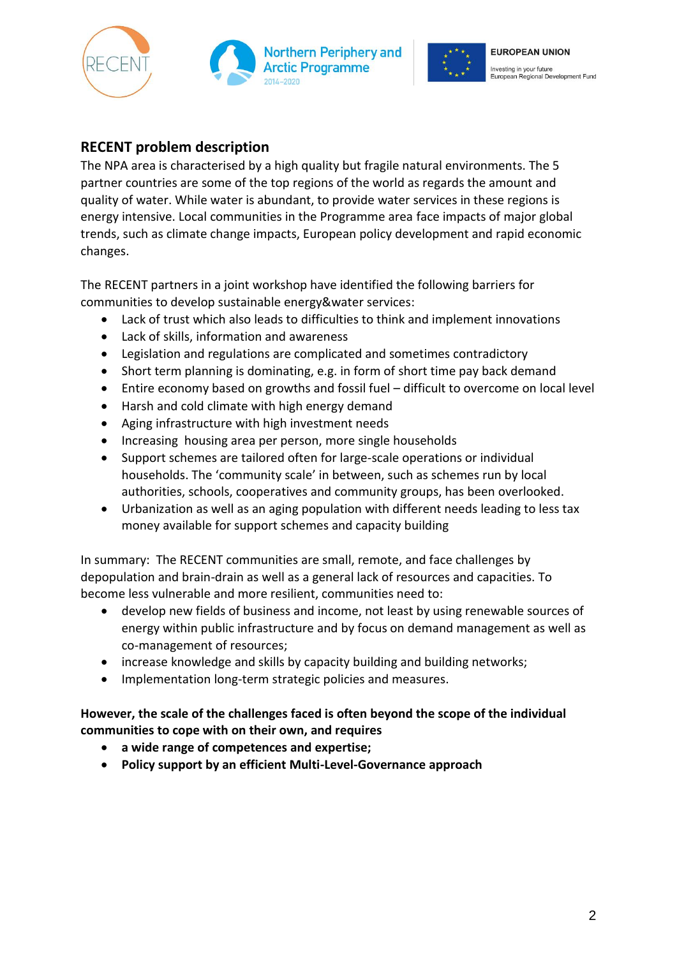





## **RECENT problem description**

The NPA area is characterised by a high quality but fragile natural environments. The 5 partner countries are some of the top regions of the world as regards the amount and quality of water. While water is abundant, to provide water services in these regions is energy intensive. Local communities in the Programme area face impacts of major global trends, such as climate change impacts, European policy development and rapid economic changes.

The RECENT partners in a joint workshop have identified the following barriers for communities to develop sustainable energy&water services:

- Lack of trust which also leads to difficulties to think and implement innovations
- Lack of skills, information and awareness
- Legislation and regulations are complicated and sometimes contradictory
- Short term planning is dominating, e.g. in form of short time pay back demand
- Entire economy based on growths and fossil fuel difficult to overcome on local level
- Harsh and cold climate with high energy demand
- Aging infrastructure with high investment needs
- Increasing housing area per person, more single households
- Support schemes are tailored often for large-scale operations or individual households. The 'community scale' in between, such as schemes run by local authorities, schools, cooperatives and community groups, has been overlooked.
- Urbanization as well as an aging population with different needs leading to less tax money available for support schemes and capacity building

In summary: The RECENT communities are small, remote, and face challenges by depopulation and brain-drain as well as a general lack of resources and capacities. To become less vulnerable and more resilient, communities need to:

- develop new fields of business and income, not least by using renewable sources of energy within public infrastructure and by focus on demand management as well as co-management of resources;
- increase knowledge and skills by capacity building and building networks;
- Implementation long-term strategic policies and measures.

#### **However, the scale of the challenges faced is often beyond the scope of the individual communities to cope with on their own, and requires**

- **a wide range of competences and expertise;**
- **Policy support by an efficient Multi-Level-Governance approach**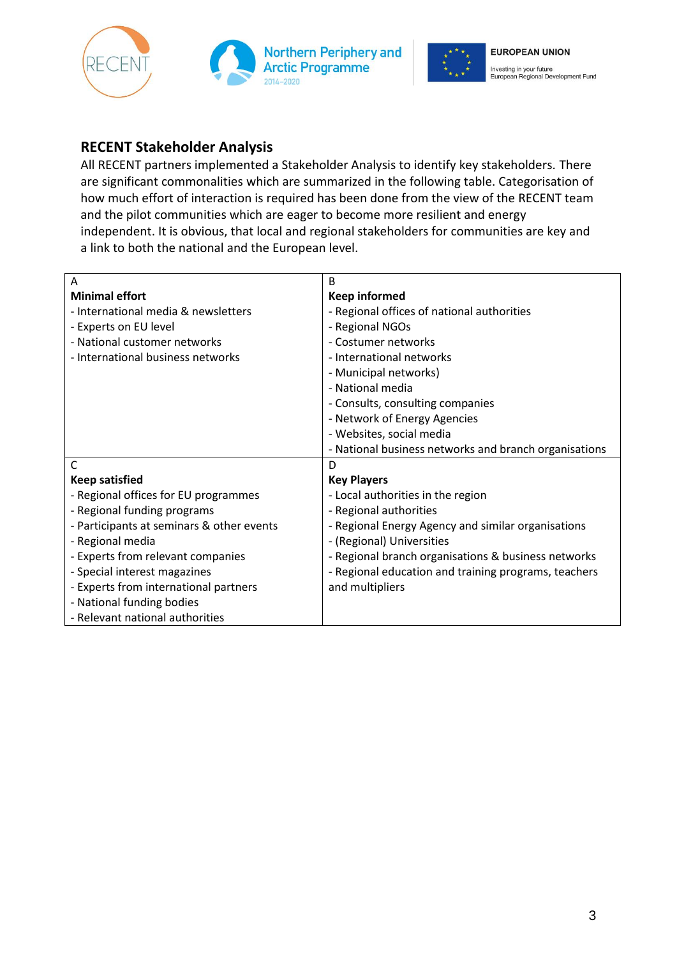





### **RECENT Stakeholder Analysis**

All RECENT partners implemented a Stakeholder Analysis to identify key stakeholders. There are significant commonalities which are summarized in the following table. Categorisation of how much effort of interaction is required has been done from the view of the RECENT team and the pilot communities which are eager to become more resilient and energy independent. It is obvious, that local and regional stakeholders for communities are key and a link to both the national and the European level.

| Α                                         | B                                                     |
|-------------------------------------------|-------------------------------------------------------|
| <b>Minimal effort</b>                     | <b>Keep informed</b>                                  |
| - International media & newsletters       | - Regional offices of national authorities            |
| - Experts on EU level                     | - Regional NGOs                                       |
| - National customer networks              | - Costumer networks                                   |
| - International business networks         | - International networks                              |
|                                           | - Municipal networks)                                 |
|                                           | - National media                                      |
|                                           | - Consults, consulting companies                      |
|                                           | - Network of Energy Agencies                          |
|                                           | - Websites, social media                              |
|                                           | - National business networks and branch organisations |
| C                                         | D                                                     |
| <b>Keep satisfied</b>                     | <b>Key Players</b>                                    |
| - Regional offices for EU programmes      | - Local authorities in the region                     |
| - Regional funding programs               | - Regional authorities                                |
| - Participants at seminars & other events | - Regional Energy Agency and similar organisations    |
| - Regional media                          | - (Regional) Universities                             |
| - Experts from relevant companies         | - Regional branch organisations & business networks   |
| - Special interest magazines              | - Regional education and training programs, teachers  |
| - Experts from international partners     | and multipliers                                       |
| - National funding bodies                 |                                                       |
| - Relevant national authorities           |                                                       |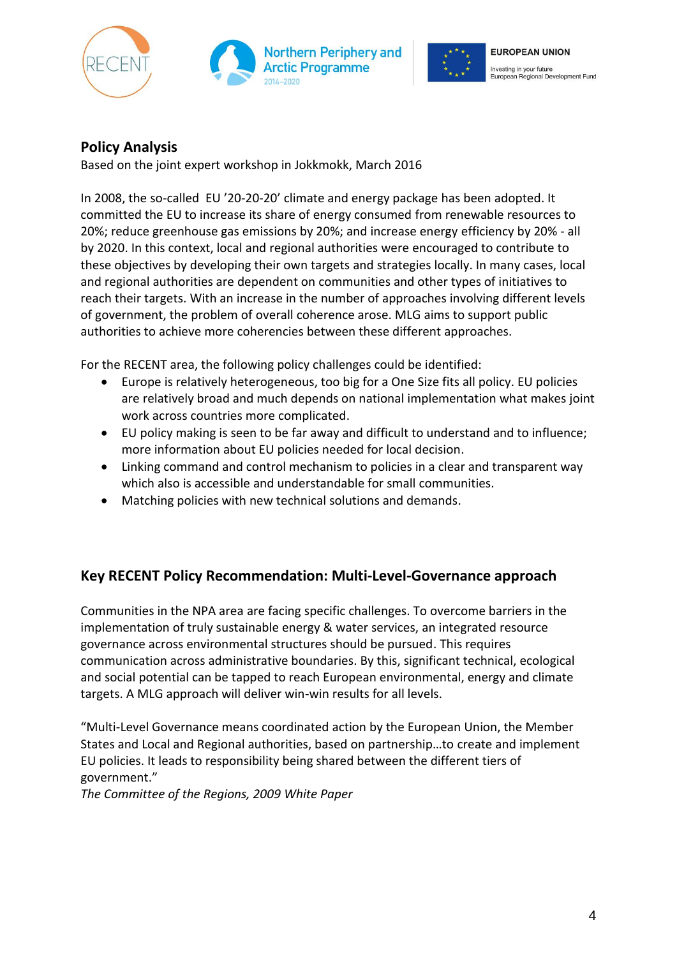





## **Policy Analysis**

Based on the joint expert workshop in Jokkmokk, March 2016

In 2008, the so-called EU '20-20-20' climate and energy package has been adopted. It committed the EU to increase its share of energy consumed from renewable resources to 20%; reduce greenhouse gas emissions by 20%; and increase energy efficiency by 20% - all by 2020. In this context, local and regional authorities were encouraged to contribute to these objectives by developing their own targets and strategies locally. In many cases, local and regional authorities are dependent on communities and other types of initiatives to reach their targets. With an increase in the number of approaches involving different levels of government, the problem of overall coherence arose. MLG aims to support public authorities to achieve more coherencies between these different approaches.

For the RECENT area, the following policy challenges could be identified:

- Europe is relatively heterogeneous, too big for a One Size fits all policy. EU policies are relatively broad and much depends on national implementation what makes joint work across countries more complicated.
- EU policy making is seen to be far away and difficult to understand and to influence; more information about EU policies needed for local decision.
- Linking command and control mechanism to policies in a clear and transparent way which also is accessible and understandable for small communities.
- Matching policies with new technical solutions and demands.

#### **Key RECENT Policy Recommendation: Multi-Level-Governance approach**

Communities in the NPA area are facing specific challenges. To overcome barriers in the implementation of truly sustainable energy & water services, an integrated resource governance across environmental structures should be pursued. This requires communication across administrative boundaries. By this, significant technical, ecological and social potential can be tapped to reach European environmental, energy and climate targets. A MLG approach will deliver win-win results for all levels.

"Multi-Level Governance means coordinated action by the European Union, the Member States and Local and Regional authorities, based on partnership…to create and implement EU policies. It leads to responsibility being shared between the different tiers of government."

*The Committee of the Regions, 2009 White Paper*